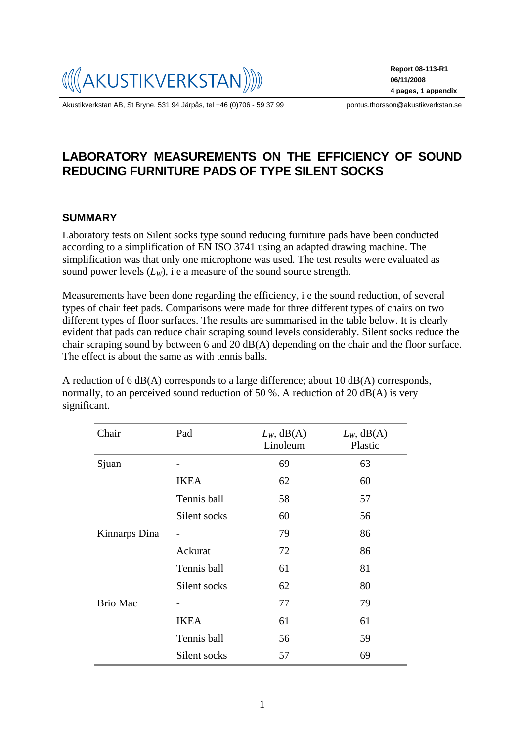

Akustikverkstan AB, St Bryne, 531 94 Järpås, tel +46 (0)706 - 59 37 99 pontus.thorsson@akustikverkstan.se

**Report 08-113-R1 06/11/2008 4 pages, 1 appendix**

# **LABORATORY MEASUREMENTS ON THE EFFICIENCY OF SOUND REDUCING FURNITURE PADS OF TYPE SILENT SOCKS**

#### **SUMMARY**

Laboratory tests on Silent socks type sound reducing furniture pads have been conducted according to a simplification of EN ISO 3741 using an adapted drawing machine. The simplification was that only one microphone was used. The test results were evaluated as sound power levels  $(L_W)$ , i e a measure of the sound source strength.

Measurements have been done regarding the efficiency, i e the sound reduction, of several types of chair feet pads. Comparisons were made for three different types of chairs on two different types of floor surfaces. The results are summarised in the table below. It is clearly evident that pads can reduce chair scraping sound levels considerably. Silent socks reduce the chair scraping sound by between 6 and 20 dB(A) depending on the chair and the floor surface. The effect is about the same as with tennis balls.

A reduction of 6 dB(A) corresponds to a large difference; about 10 dB(A) corresponds, normally, to an perceived sound reduction of 50 %. A reduction of 20 dB(A) is very significant.

| Chair           | Pad          | $L_W$ , dB(A)<br>Linoleum | $L_W$ , dB(A)<br>Plastic |
|-----------------|--------------|---------------------------|--------------------------|
| Sjuan           |              | 69                        | 63                       |
|                 | <b>IKEA</b>  | 62                        | 60                       |
|                 | Tennis ball  | 58                        | 57                       |
|                 | Silent socks | 60                        | 56                       |
| Kinnarps Dina   |              | 79                        | 86                       |
|                 | Ackurat      | 72                        | 86                       |
|                 | Tennis ball  | 61                        | 81                       |
|                 | Silent socks | 62                        | 80                       |
| <b>Brio Mac</b> |              | 77                        | 79                       |
|                 | <b>IKEA</b>  | 61                        | 61                       |
|                 | Tennis ball  | 56                        | 59                       |
|                 | Silent socks | 57                        | 69                       |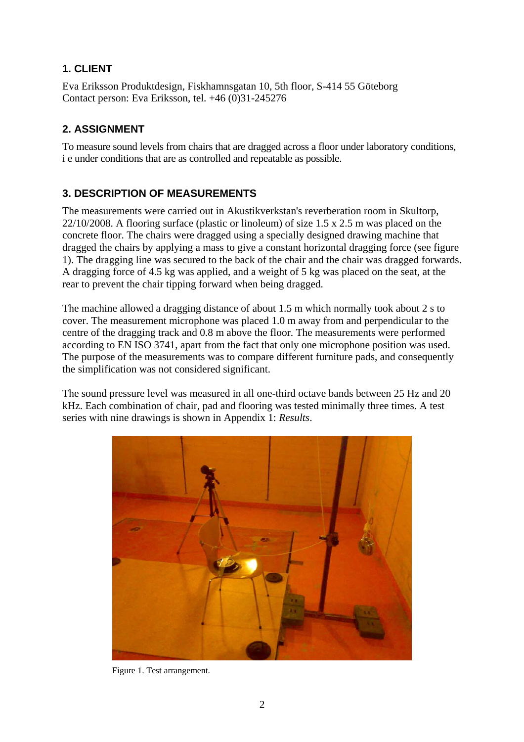# **1. CLIENT**

Eva Eriksson Produktdesign, Fiskhamnsgatan 10, 5th floor, S-414 55 Göteborg Contact person: Eva Eriksson, tel. +46 (0)31-245276

# **2. ASSIGNMENT**

To measure sound levels from chairs that are dragged across a floor under laboratory conditions, i e under conditions that are as controlled and repeatable as possible.

### **3. DESCRIPTION OF MEASUREMENTS**

The measurements were carried out in Akustikverkstan's reverberation room in Skultorp, 22/10/2008. A flooring surface (plastic or linoleum) of size 1.5 x 2.5 m was placed on the concrete floor. The chairs were dragged using a specially designed drawing machine that dragged the chairs by applying a mass to give a constant horizontal dragging force (see figure 1). The dragging line was secured to the back of the chair and the chair was dragged forwards. A dragging force of 4.5 kg was applied, and a weight of 5 kg was placed on the seat, at the rear to prevent the chair tipping forward when being dragged.

The machine allowed a dragging distance of about 1.5 m which normally took about 2 s to cover. The measurement microphone was placed 1.0 m away from and perpendicular to the centre of the dragging track and 0.8 m above the floor. The measurements were performed according to EN ISO 3741, apart from the fact that only one microphone position was used. The purpose of the measurements was to compare different furniture pads, and consequently the simplification was not considered significant.

The sound pressure level was measured in all one-third octave bands between 25 Hz and 20 kHz. Each combination of chair, pad and flooring was tested minimally three times. A test series with nine drawings is shown in Appendix 1: *Results*.



Figure 1. Test arrangement.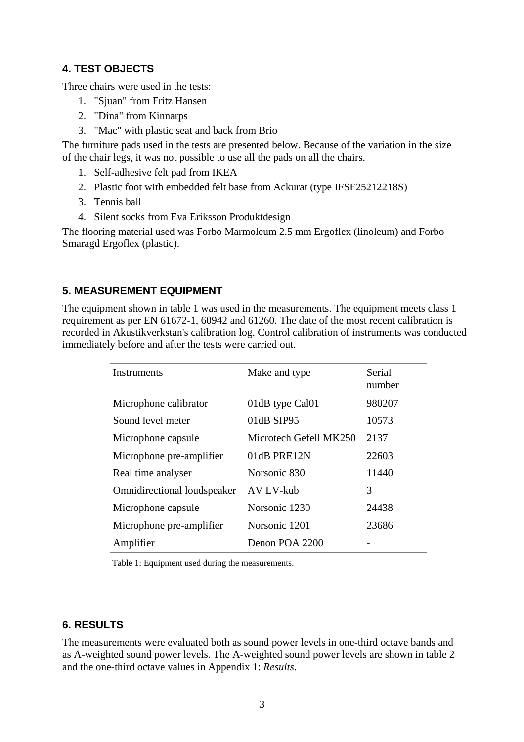### **4. TEST OBJECTS**

Three chairs were used in the tests:

- 1. "Sjuan" from Fritz Hansen
- 2. "Dina" from Kinnarps
- 3. "Mac" with plastic seat and back from Brio

The furniture pads used in the tests are presented below. Because of the variation in the size of the chair legs, it was not possible to use all the pads on all the chairs.

- 1. Self-adhesive felt pad from IKEA
- 2. Plastic foot with embedded felt base from Ackurat (type IFSF25212218S)
- 3. Tennis ball
- 4. Silent socks from Eva Eriksson Produktdesign

The flooring material used was Forbo Marmoleum 2.5 mm Ergoflex (linoleum) and Forbo Smaragd Ergoflex (plastic).

### **5. MEASUREMENT EQUIPMENT**

The equipment shown in table 1 was used in the measurements. The equipment meets class 1 requirement as per EN 61672-1, 60942 and 61260. The date of the most recent calibration is recorded in Akustikverkstan's calibration log. Control calibration of instruments was conducted immediately before and after the tests were carried out.

| Instruments                        | Make and type          | Serial<br>number |
|------------------------------------|------------------------|------------------|
| Microphone calibrator              | 01dB type Cal01        | 980207           |
| Sound level meter                  | 01dB SIP95             | 10573            |
| Microphone capsule                 | Microtech Gefell MK250 | 2137             |
| Microphone pre-amplifier           | 01dB PRE12N            | 22603            |
| Real time analyser                 | Norsonic 830           | 11440            |
| <b>Omnidirectional loudspeaker</b> | AV LV-kub              | 3                |
| Microphone capsule                 | Norsonic 1230          | 24438            |
| Microphone pre-amplifier           | Norsonic 1201          | 23686            |
| Amplifier                          | Denon POA 2200         |                  |

Table 1: Equipment used during the measurements.

### **6. RESULTS**

The measurements were evaluated both as sound power levels in one-third octave bands and as A-weighted sound power levels. The A-weighted sound power levels are shown in table 2 and the one-third octave values in Appendix 1: *Results*.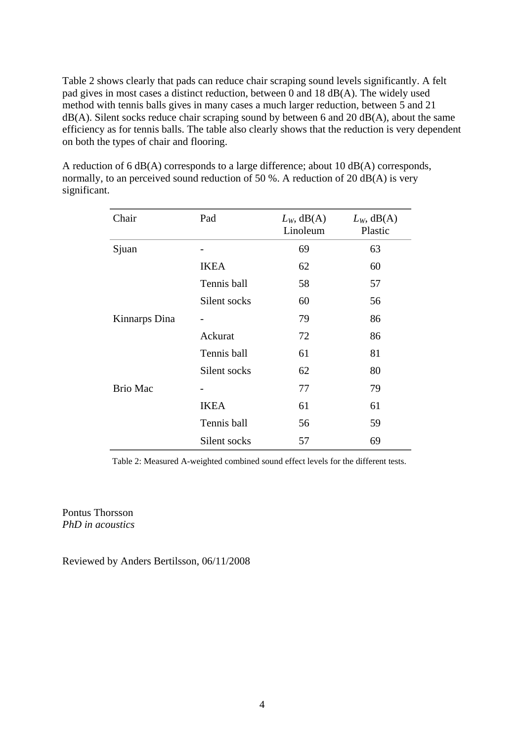Table 2 shows clearly that pads can reduce chair scraping sound levels significantly. A felt pad gives in most cases a distinct reduction, between 0 and 18 dB(A). The widely used method with tennis balls gives in many cases a much larger reduction, between 5 and 21  $dB(A)$ . Silent socks reduce chair scraping sound by between 6 and 20 dB(A), about the same efficiency as for tennis balls. The table also clearly shows that the reduction is very dependent on both the types of chair and flooring.

A reduction of 6 dB(A) corresponds to a large difference; about 10 dB(A) corresponds, normally, to an perceived sound reduction of 50 %. A reduction of 20 dB(A) is very significant.

| Chair           | Pad          | $L_W$ , dB(A)<br>Linoleum | $L_W$ , dB(A)<br>Plastic |
|-----------------|--------------|---------------------------|--------------------------|
| Sjuan           |              | 69                        | 63                       |
|                 | <b>IKEA</b>  | 62                        | 60                       |
|                 | Tennis ball  | 58                        | 57                       |
|                 | Silent socks | 60                        | 56                       |
| Kinnarps Dina   |              | 79                        | 86                       |
|                 | Ackurat      | 72                        | 86                       |
|                 | Tennis ball  | 61                        | 81                       |
|                 | Silent socks | 62                        | 80                       |
| <b>Brio Mac</b> |              | 77                        | 79                       |
|                 | <b>IKEA</b>  | 61                        | 61                       |
|                 | Tennis ball  | 56                        | 59                       |
|                 | Silent socks | 57                        | 69                       |

Table 2: Measured A-weighted combined sound effect levels for the different tests.

Pontus Thorsson *PhD in acoustics* 

Reviewed by Anders Bertilsson, 06/11/2008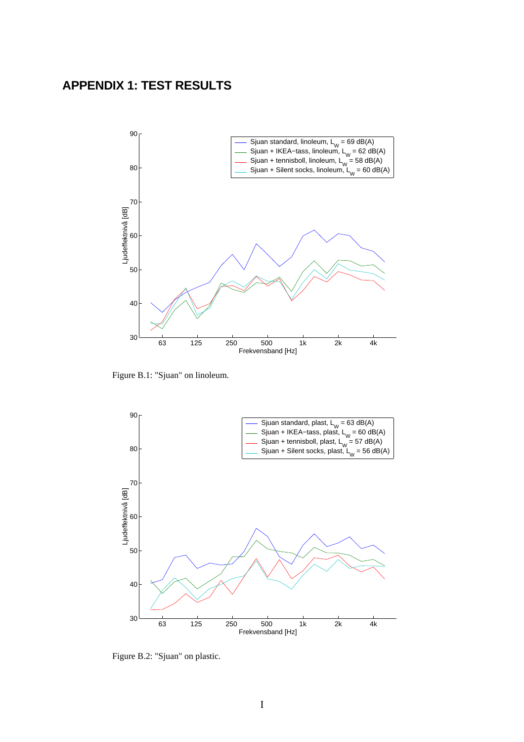# **APPENDIX 1: TEST RESULTS**



Figure B.1: "Sjuan" on linoleum.



Figure B.2: "Sjuan" on plastic.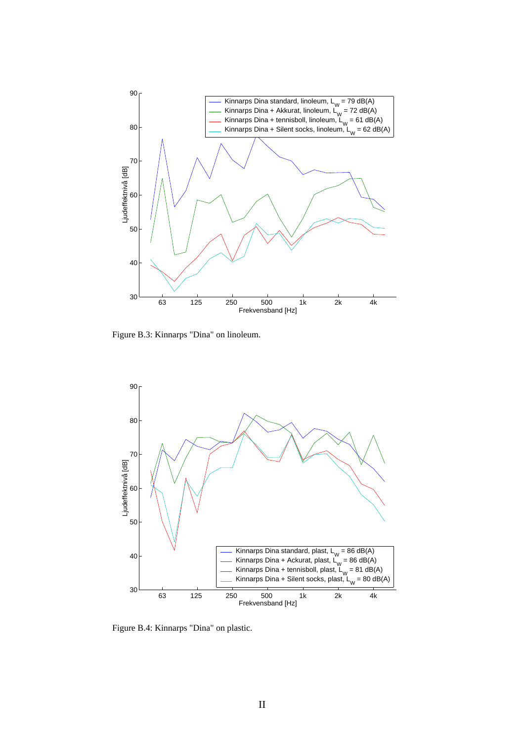

Figure B.3: Kinnarps "Dina" on linoleum.



Figure B.4: Kinnarps "Dina" on plastic.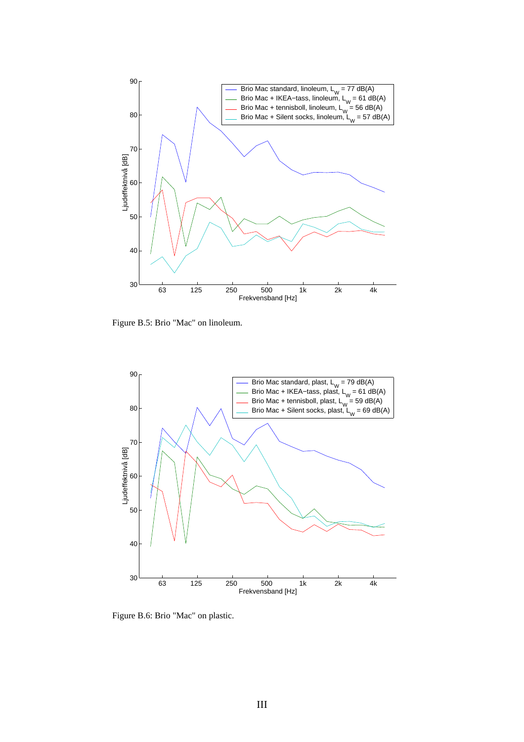

Figure B.5: Brio "Mac" on linoleum.



Figure B.6: Brio "Mac" on plastic.